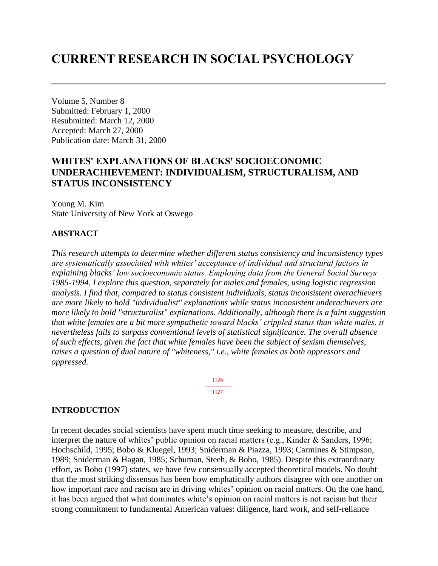# **CURRENT RESEARCH IN SOCIAL PSYCHOLOGY**

Volume 5, Number 8 Submitted: February 1, 2000 Resubmitted: March 12, 2000 Accepted: March 27, 2000 Publication date: March 31, 2000

# **WHITES' EXPLANATIONS OF BLACKS' SOCIOECONOMIC UNDERACHIEVEMENT: INDIVIDUALISM, STRUCTURALISM, AND STATUS INCONSISTENCY**

Young M. Kim State University of New York at Oswego

# **ABSTRACT**

*This research attempts to determine whether different status consistency and inconsistency types are systematically associated with whites' acceptance of individual and structural factors in explaining blacks' low socioeconomic status. Employing data from the General Social Surveys 1985-1994, I explore this question, separately for males and females, using logistic regression analysis. I find that, compared to status consistent individuals, status inconsistent overachievers are more likely to hold "individualist" explanations while status inconsistent underachievers are more likely to hold "structuralist" explanations. Additionally, although there is a faint suggestion that white females are a bit more sympathetic toward blacks' crippled status than white males, it nevertheless fails to surpass conventional levels of statistical significance. The overall absence of such effects, given the fact that white females have been the subject of sexism themselves, raises a question of dual nature of "whiteness," i.e., white females as both oppressors and oppressed.*

> [126] --------------- [127]

## **INTRODUCTION**

In recent decades social scientists have spent much time seeking to measure, describe, and interpret the nature of whites' public opinion on racial matters (e.g., Kinder & Sanders, 1996; Hochschild, 1995; Bobo & Kluegel, 1993; Sniderman & Piazza, 1993; Carmines & Stimpson, 1989; Sniderman & Hagan, 1985; Schuman, Steeh, & Bobo, 1985). Despite this extraordinary effort, as Bobo (1997) states, we have few consensually accepted theoretical models. No doubt that the most striking dissensus has been how emphatically authors disagree with one another on how important race and racism are in driving whites' opinion on racial matters. On the one hand, it has been argued that what dominates white's opinion on racial matters is not racism but their strong commitment to fundamental American values: diligence, hard work, and self-reliance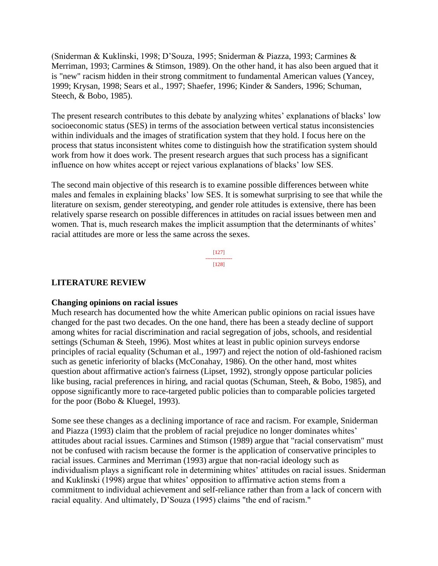(Sniderman & Kuklinski, 1998; D'Souza, 1995; Sniderman & Piazza, 1993; Carmines & Merriman, 1993; Carmines & Stimson, 1989). On the other hand, it has also been argued that it is "new" racism hidden in their strong commitment to fundamental American values (Yancey, 1999; Krysan, 1998; Sears et al., 1997; Shaefer, 1996; Kinder & Sanders, 1996; Schuman, Steech, & Bobo, 1985).

The present research contributes to this debate by analyzing whites' explanations of blacks' low socioeconomic status (SES) in terms of the association between vertical status inconsistencies within individuals and the images of stratification system that they hold. I focus here on the process that status inconsistent whites come to distinguish how the stratification system should work from how it does work. The present research argues that such process has a significant influence on how whites accept or reject various explanations of blacks' low SES.

The second main objective of this research is to examine possible differences between white males and females in explaining blacks' low SES. It is somewhat surprising to see that while the literature on sexism, gender stereotyping, and gender role attitudes is extensive, there has been relatively sparse research on possible differences in attitudes on racial issues between men and women. That is, much research makes the implicit assumption that the determinants of whites' racial attitudes are more or less the same across the sexes.

> [127] --------------- [128]

# **LITERATURE REVIEW**

## **Changing opinions on racial issues**

Much research has documented how the white American public opinions on racial issues have changed for the past two decades. On the one hand, there has been a steady decline of support among whites for racial discrimination and racial segregation of jobs, schools, and residential settings (Schuman & Steeh, 1996). Most whites at least in public opinion surveys endorse principles of racial equality (Schuman et al., 1997) and reject the notion of old-fashioned racism such as genetic inferiority of blacks (McConahay, 1986). On the other hand, most whites question about affirmative action's fairness (Lipset, 1992), strongly oppose particular policies like busing, racial preferences in hiring, and racial quotas (Schuman, Steeh, & Bobo, 1985), and oppose significantly more to race-targeted public policies than to comparable policies targeted for the poor (Bobo & Kluegel, 1993).

Some see these changes as a declining importance of race and racism. For example, Sniderman and Piazza (1993) claim that the problem of racial prejudice no longer dominates whites' attitudes about racial issues. Carmines and Stimson (1989) argue that "racial conservatism" must not be confused with racism because the former is the application of conservative principles to racial issues. Carmines and Merriman (1993) argue that non-racial ideology such as individualism plays a significant role in determining whites' attitudes on racial issues. Sniderman and Kuklinski (1998) argue that whites' opposition to affirmative action stems from a commitment to individual achievement and self-reliance rather than from a lack of concern with racial equality. And ultimately, D'Souza (1995) claims "the end of racism."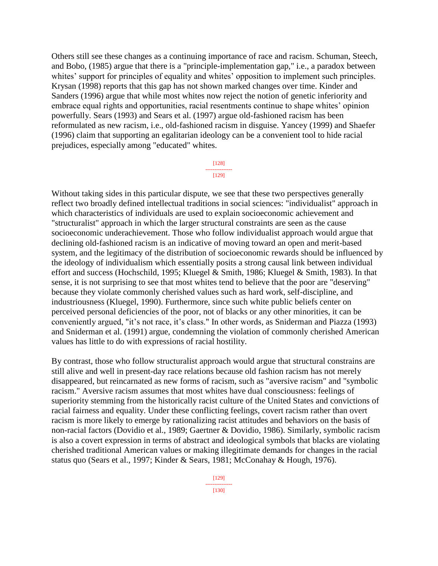Others still see these changes as a continuing importance of race and racism. Schuman, Steech, and Bobo, (1985) argue that there is a "principle-implementation gap," i.e., a paradox between whites' support for principles of equality and whites' opposition to implement such principles. Krysan (1998) reports that this gap has not shown marked changes over time. Kinder and Sanders (1996) argue that while most whites now reject the notion of genetic inferiority and embrace equal rights and opportunities, racial resentments continue to shape whites' opinion powerfully. Sears (1993) and Sears et al. (1997) argue old-fashioned racism has been reformulated as new racism, i.e., old-fashioned racism in disguise. Yancey (1999) and Shaefer (1996) claim that supporting an egalitarian ideology can be a convenient tool to hide racial prejudices, especially among "educated" whites.

> [128] --------------- [129]

Without taking sides in this particular dispute, we see that these two perspectives generally reflect two broadly defined intellectual traditions in social sciences: "individualist" approach in which characteristics of individuals are used to explain socioeconomic achievement and "structuralist" approach in which the larger structural constraints are seen as the cause socioeconomic underachievement. Those who follow individualist approach would argue that declining old-fashioned racism is an indicative of moving toward an open and merit-based system, and the legitimacy of the distribution of socioeconomic rewards should be influenced by the ideology of individualism which essentially posits a strong causal link between individual effort and success (Hochschild, 1995; Kluegel & Smith, 1986; Kluegel & Smith, 1983). In that sense, it is not surprising to see that most whites tend to believe that the poor are "deserving" because they violate commonly cherished values such as hard work, self-discipline, and industriousness (Kluegel, 1990). Furthermore, since such white public beliefs center on perceived personal deficiencies of the poor, not of blacks or any other minorities, it can be conveniently argued, "it's not race, it's class." In other words, as Sniderman and Piazza (1993) and Sniderman et al. (1991) argue, condemning the violation of commonly cherished American values has little to do with expressions of racial hostility.

By contrast, those who follow structuralist approach would argue that structural constrains are still alive and well in present-day race relations because old fashion racism has not merely disappeared, but reincarnated as new forms of racism, such as "aversive racism" and "symbolic racism." Aversive racism assumes that most whites have dual consciousness: feelings of superiority stemming from the historically racist culture of the United States and convictions of racial fairness and equality. Under these conflicting feelings, covert racism rather than overt racism is more likely to emerge by rationalizing racist attitudes and behaviors on the basis of non-racial factors (Dovidio et al., 1989; Gaertner & Dovidio, 1986). Similarly, symbolic racism is also a covert expression in terms of abstract and ideological symbols that blacks are violating cherished traditional American values or making illegitimate demands for changes in the racial status quo (Sears et al., 1997; Kinder & Sears, 1981; McConahay & Hough, 1976).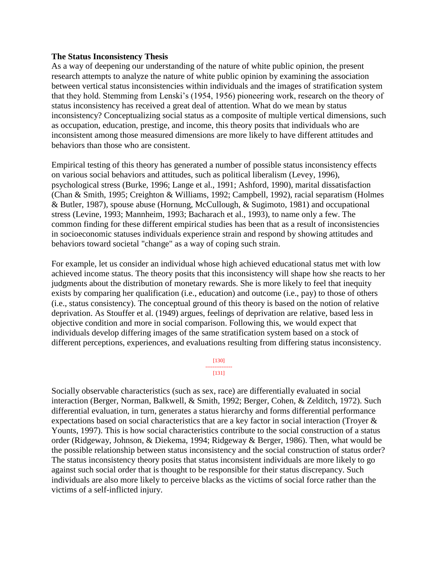### **The Status Inconsistency Thesis**

As a way of deepening our understanding of the nature of white public opinion, the present research attempts to analyze the nature of white public opinion by examining the association between vertical status inconsistencies within individuals and the images of stratification system that they hold. Stemming from Lenski's (1954, 1956) pioneering work, research on the theory of status inconsistency has received a great deal of attention. What do we mean by status inconsistency? Conceptualizing social status as a composite of multiple vertical dimensions, such as occupation, education, prestige, and income, this theory posits that individuals who are inconsistent among those measured dimensions are more likely to have different attitudes and behaviors than those who are consistent.

Empirical testing of this theory has generated a number of possible status inconsistency effects on various social behaviors and attitudes, such as political liberalism (Levey, 1996), psychological stress (Burke, 1996; Lange et al., 1991; Ashford, 1990), marital dissatisfaction (Chan & Smith, 1995; Creighton & Williams, 1992; Campbell, 1992), racial separatism (Holmes & Butler, 1987), spouse abuse (Hornung, McCullough, & Sugimoto, 1981) and occupational stress (Levine, 1993; Mannheim, 1993; Bacharach et al., 1993), to name only a few. The common finding for these different empirical studies has been that as a result of inconsistencies in socioeconomic statuses individuals experience strain and respond by showing attitudes and behaviors toward societal "change" as a way of coping such strain.

For example, let us consider an individual whose high achieved educational status met with low achieved income status. The theory posits that this inconsistency will shape how she reacts to her judgments about the distribution of monetary rewards. She is more likely to feel that inequity exists by comparing her qualification (i.e., education) and outcome (i.e., pay) to those of others (i.e., status consistency). The conceptual ground of this theory is based on the notion of relative deprivation. As Stouffer et al. (1949) argues, feelings of deprivation are relative, based less in objective condition and more in social comparison. Following this, we would expect that individuals develop differing images of the same stratification system based on a stock of different perceptions, experiences, and evaluations resulting from differing status inconsistency.

> [130] --------------- [131]

Socially observable characteristics (such as sex, race) are differentially evaluated in social interaction (Berger, Norman, Balkwell, & Smith, 1992; Berger, Cohen, & Zelditch, 1972). Such differential evaluation, in turn, generates a status hierarchy and forms differential performance expectations based on social characteristics that are a key factor in social interaction (Troyer & Younts, 1997). This is how social characteristics contribute to the social construction of a status order (Ridgeway, Johnson, & Diekema, 1994; Ridgeway & Berger, 1986). Then, what would be the possible relationship between status inconsistency and the social construction of status order? The status inconsistency theory posits that status inconsistent individuals are more likely to go against such social order that is thought to be responsible for their status discrepancy. Such individuals are also more likely to perceive blacks as the victims of social force rather than the victims of a self-inflicted injury.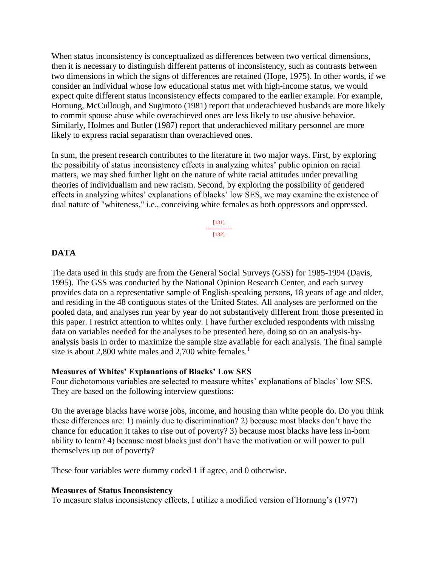When status inconsistency is conceptualized as differences between two vertical dimensions, then it is necessary to distinguish different patterns of inconsistency, such as contrasts between two dimensions in which the signs of differences are retained (Hope, 1975). In other words, if we consider an individual whose low educational status met with high-income status, we would expect quite different status inconsistency effects compared to the earlier example. For example, Hornung, McCullough, and Sugimoto (1981) report that underachieved husbands are more likely to commit spouse abuse while overachieved ones are less likely to use abusive behavior. Similarly, Holmes and Butler (1987) report that underachieved military personnel are more likely to express racial separatism than overachieved ones.

In sum, the present research contributes to the literature in two major ways. First, by exploring the possibility of status inconsistency effects in analyzing whites' public opinion on racial matters, we may shed further light on the nature of white racial attitudes under prevailing theories of individualism and new racism. Second, by exploring the possibility of gendered effects in analyzing whites' explanations of blacks' low SES, we may examine the existence of dual nature of "whiteness," i.e., conceiving white females as both oppressors and oppressed.

> [131] --------------- [132]

## **DATA**

The data used in this study are from the General Social Surveys (GSS) for 1985-1994 (Davis, 1995). The GSS was conducted by the National Opinion Research Center, and each survey provides data on a representative sample of English-speaking persons, 18 years of age and older, and residing in the 48 contiguous states of the United States. All analyses are performed on the pooled data, and analyses run year by year do not substantively different from those presented in this paper. I restrict attention to whites only. I have further excluded respondents with missing data on variables needed for the analyses to be presented here, doing so on an analysis-byanalysis basis in order to maximize the sample size available for each analysis. The final sample size is about 2,800 white males and 2,700 white females.<sup>1</sup>

### **Measures of Whites' Explanations of Blacks' Low SES**

Four dichotomous variables are selected to measure whites' explanations of blacks' low SES. They are based on the following interview questions:

On the average blacks have worse jobs, income, and housing than white people do. Do you think these differences are: 1) mainly due to discrimination? 2) because most blacks don't have the chance for education it takes to rise out of poverty? 3) because most blacks have less in-born ability to learn? 4) because most blacks just don't have the motivation or will power to pull themselves up out of poverty?

These four variables were dummy coded 1 if agree, and 0 otherwise.

### **Measures of Status Inconsistency**

To measure status inconsistency effects, I utilize a modified version of Hornung's (1977)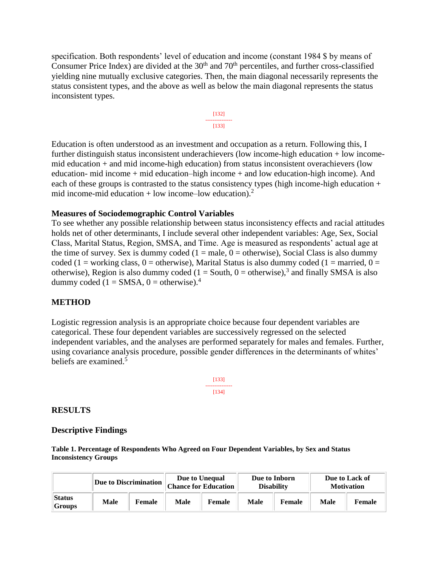specification. Both respondents' level of education and income (constant 1984 \$ by means of Consumer Price Index) are divided at the  $30<sup>th</sup>$  and  $70<sup>th</sup>$  percentiles, and further cross-classified yielding nine mutually exclusive categories. Then, the main diagonal necessarily represents the status consistent types, and the above as well as below the main diagonal represents the status inconsistent types.



Education is often understood as an investment and occupation as a return. Following this, I further distinguish status inconsistent underachievers (low income-high education + low incomemid education + and mid income-high education) from status inconsistent overachievers (low education- mid income + mid education–high income + and low education-high income). And each of these groups is contrasted to the status consistency types (high income-high education + mid income-mid education + low income–low education).<sup>2</sup>

## **Measures of Sociodemographic Control Variables**

To see whether any possible relationship between status inconsistency effects and racial attitudes holds net of other determinants, I include several other independent variables: Age, Sex, Social Class, Marital Status, Region, SMSA, and Time. Age is measured as respondents' actual age at the time of survey. Sex is dummy coded  $(1 = male, 0 = otherwise)$ , Social Class is also dummy coded (1 = working class, 0 = otherwise), Marital Status is also dummy coded (1 = married, 0 = otherwise), Region is also dummy coded  $(1 = South, 0 = otherwise)$ ,<sup>3</sup> and finally SMSA is also dummy coded (1 = SMSA, 0 = otherwise).<sup>4</sup>

## **METHOD**

Logistic regression analysis is an appropriate choice because four dependent variables are categorical. These four dependent variables are successively regressed on the selected independent variables, and the analyses are performed separately for males and females. Further, using covariance analysis procedure, possible gender differences in the determinants of whites' beliefs are examined.<sup>5</sup>

> [133] --------------- [134]

## **RESULTS**

### **Descriptive Findings**

**Table 1. Percentage of Respondents Who Agreed on Four Dependent Variables, by Sex and Status Inconsistency Groups**

|                         | <b>Due to Discrimination</b> |        | Due to Unequal<br><b>Chance for Education</b> |        | Due to Inborn<br><b>Disability</b> |        | Due to Lack of<br><b>Motivation</b> |               |
|-------------------------|------------------------------|--------|-----------------------------------------------|--------|------------------------------------|--------|-------------------------------------|---------------|
| <b>Status</b><br>Groups | Male                         | Female | Male                                          | Female | Male                               | Female | Male                                | <b>Female</b> |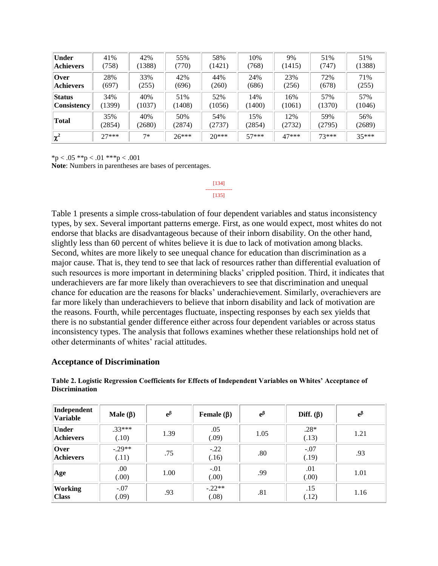| <b>Under</b>       | 41%     | 42%    | 55%     | 58%     | 10%     | 9%      | 51%     | 51%     |
|--------------------|---------|--------|---------|---------|---------|---------|---------|---------|
| <b>Achievers</b>   | (758)   | (1388) | (770)   | (1421)  | (768)   | (1415)  | (747)   | (1388)  |
| <b>Over</b>        | 28%     | 33%    | 42%     | 44%     | 24%     | 23%     | 72%     | 71%     |
| <b>Achievers</b>   | (697)   | (255)  | (696)   | (260)   | (686)   | (256)   | (678)   | (255)   |
| <b>Status</b>      | 34%     | 40%    | 51%     | 52%     | 14%     | 16%     | 57%     | 57%     |
| <b>Consistency</b> | (1399)  | (1037) | (1408)  | (1056)  | (1400)  | (1061)  | (1370)  | (1046)  |
| <b>Total</b>       | 35%     | 40%    | 50%     | 54%     | 15%     | 12%     | 59%     | 56%     |
|                    | (2854)  | (2680) | (2874)  | (2737)  | (2854)  | (2732)  | (2795)  | (2689)  |
| $ \chi^2 $         | $27***$ | $7*$   | $26***$ | $20***$ | $57***$ | $47***$ | $73***$ | $35***$ |

[134] --------------- [135]

 $*<sub>p</sub> < .05$   $*<sub>p</sub> < .01$   $*<sub>p</sub> < .001$ 

**Note**: Numbers in parentheses are bases of percentages.

Table 1 presents a simple cross-tabulation of four dependent variables and status inconsistency types, by sex. Several important patterns emerge. First, as one would expect, most whites do not endorse that blacks are disadvantageous because of their inborn disability. On the other hand, slightly less than 60 percent of whites believe it is due to lack of motivation among blacks. Second, whites are more likely to see unequal chance for education than discrimination as a major cause. That is, they tend to see that lack of resources rather than differential evaluation of such resources is more important in determining blacks' crippled position. Third, it indicates that underachievers are far more likely than overachievers to see that discrimination and unequal chance for education are the reasons for blacks' underachievement. Similarly, overachievers are far more likely than underachievers to believe that inborn disability and lack of motivation are the reasons. Fourth, while percentages fluctuate, inspecting responses by each sex yields that there is no substantial gender difference either across four dependent variables or across status inconsistency types. The analysis that follows examines whether these relationships hold net of other determinants of whites' racial attitudes.

### **Acceptance of Discrimination**

| Independent<br><b>Variable</b>   | Male $(\beta)$    | $e^{\beta}$ | Female $(\beta)$  | $e^{\beta}$ | Diff. $(\beta)$ | $e^{\beta}$ |
|----------------------------------|-------------------|-------------|-------------------|-------------|-----------------|-------------|
| <b>Under</b><br><b>Achievers</b> | $.33***$<br>(.10) | 1.39        | .05<br>(.09)      | 1.05        | $.28*$<br>(.13) | 1.21        |
| Over<br><b>Achievers</b>         | $-.29**$<br>(.11) | .75         | $-.22$<br>(.16)   | .80         | $-.07$<br>(.19) | .93         |
| Age                              | .00.<br>(0.00)    | 1.00        | $-.01$<br>(.00)   | .99         | .01<br>(0.00)   | 1.01        |
| <b>Working</b><br><b>Class</b>   | $-.07$<br>(.09)   | .93         | $-.22**$<br>(.08) | .81         | .15<br>(.12)    | 1.16        |

**Table 2. Logistic Regression Coefficients for Effects of Independent Variables on Whites' Acceptance of Discrimination**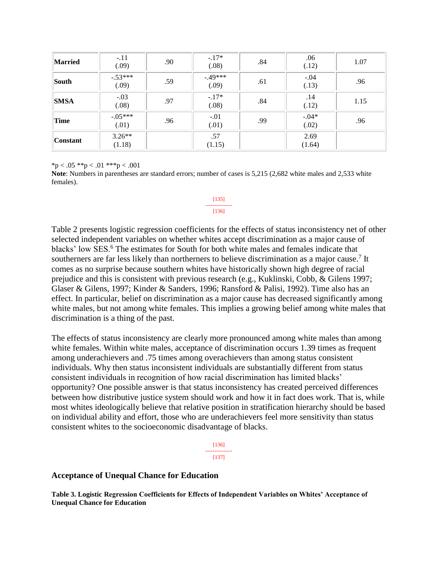| <b>Married</b>  | $-.11$<br>(.09)    | .90 | $-.17*$<br>(.08)  | .84 | .06<br>(.12)      | 1.07 |
|-----------------|--------------------|-----|-------------------|-----|-------------------|------|
| South           | $-.53***$<br>(.09) | .59 | $-49***$<br>(.09) | .61 | $-.04$<br>(.13)   | .96  |
| <b>SMSA</b>     | $-.03$<br>(.08)    | .97 | $-.17*$<br>(.08)  | .84 | .14<br>(.12)      | 1.15 |
| Time            | $-.05***$<br>(.01) | .96 | $-.01$<br>(.01)   | .99 | $-0.04*$<br>(.02) | .96  |
| <b>Constant</b> | $3.26**$<br>(1.18) |     | .57<br>(1.15)     |     | 2.69<br>(1.64)    |      |

 ${}^{\ast}p$  < .05  ${}^{\ast}{}^{\ast}p$  < .01  ${}^{\ast}{}^{\ast}{}^{\ast}p$  < .001

**Note**: Numbers in parentheses are standard errors; number of cases is 5,215 (2,682 white males and 2,533 white females).

#### [135] --------------- [136]

Table 2 presents logistic regression coefficients for the effects of status inconsistency net of other selected independent variables on whether whites accept discrimination as a major cause of blacks' low SES.<sup>6</sup> The estimates for South for both white males and females indicate that southerners are far less likely than northerners to believe discrimination as a major cause.<sup>7</sup> It comes as no surprise because southern whites have historically shown high degree of racial prejudice and this is consistent with previous research (e.g., Kuklinski, Cobb, & Gilens 1997; Glaser & Gilens, 1997; Kinder & Sanders, 1996; Ransford & Palisi, 1992). Time also has an effect. In particular, belief on discrimination as a major cause has decreased significantly among white males, but not among white females. This implies a growing belief among white males that discrimination is a thing of the past.

The effects of status inconsistency are clearly more pronounced among white males than among white females. Within white males, acceptance of discrimination occurs 1.39 times as frequent among underachievers and .75 times among overachievers than among status consistent individuals. Why then status inconsistent individuals are substantially different from status consistent individuals in recognition of how racial discrimination has limited blacks' opportunity? One possible answer is that status inconsistency has created perceived differences between how distributive justice system should work and how it in fact does work. That is, while most whites ideologically believe that relative position in stratification hierarchy should be based on individual ability and effort, those who are underachievers feel more sensitivity than status consistent whites to the socioeconomic disadvantage of blacks.

> [136] --------------- [137]

### **Acceptance of Unequal Chance for Education**

**Table 3. Logistic Regression Coefficients for Effects of Independent Variables on Whites' Acceptance of Unequal Chance for Education**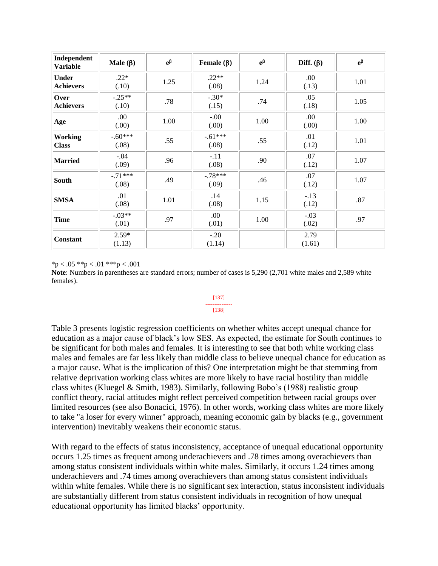| Independent<br><b>Variable</b>   | Male $(\beta)$     | $\mathrm{e}^{\beta}$ | Female $(\beta)$   | $e^{\beta}$ | Diff. $(\beta)$ | $e^{\beta}$ |
|----------------------------------|--------------------|----------------------|--------------------|-------------|-----------------|-------------|
| <b>Under</b><br><b>Achievers</b> | $.22*$<br>(.10)    | 1.25                 | $.22**$<br>(.08)   | 1.24        | .00.<br>(.13)   | 1.01        |
| Over<br><b>Achievers</b>         | $-.25**$<br>(.10)  | .78                  | $-.30*$<br>(.15)   | .74         | .05<br>(.18)    | 1.05        |
| Age                              | .00.<br>(0.00)     | 1.00                 | $-00.$<br>(0.00)   | 1.00        | .00.<br>(.00)   | 1.00        |
| <b>Working</b><br><b>Class</b>   | $-.60***$<br>(.08) | .55                  | $-.61***$<br>(.08) | .55         | .01<br>(.12)    | 1.01        |
| <b>Married</b>                   | $-.04$<br>(.09)    | .96                  | $-.11$<br>(.08)    | .90         | .07<br>(.12)    | 1.07        |
| South                            | $-.71***$<br>(.08) | .49                  | $-.78***$<br>(.09) | .46         | .07<br>(.12)    | 1.07        |
| <b>SMSA</b>                      | .01<br>(.08)       | 1.01                 | .14<br>(.08)       | 1.15        | $-.13$<br>(.12) | .87         |
| <b>Time</b>                      | $-.03**$<br>(.01)  | .97                  | .00.<br>(.01)      | 1.00        | $-.03$<br>(.02) | .97         |
| <b>Constant</b>                  | $2.59*$<br>(1.13)  |                      | $-.20$<br>(1.14)   |             | 2.79<br>(1.61)  |             |

 $*<sub>p</sub> < .05$   $*<sub>p</sub> < .01$   $*<sub>p</sub> < .001$ 

**Note**: Numbers in parentheses are standard errors; number of cases is 5,290 (2,701 white males and 2,589 white females).

#### [137] --------------- [138]

# Table 3 presents logistic regression coefficients on whether whites accept unequal chance for education as a major cause of black's low SES. As expected, the estimate for South continues to be significant for both males and females. It is interesting to see that both white working class males and females are far less likely than middle class to believe unequal chance for education as a major cause. What is the implication of this? One interpretation might be that stemming from relative deprivation working class whites are more likely to have racial hostility than middle class whites (Kluegel & Smith, 1983). Similarly, following Bobo's (1988) realistic group conflict theory, racial attitudes might reflect perceived competition between racial groups over limited resources (see also Bonacici, 1976). In other words, working class whites are more likely to take "a loser for every winner" approach, meaning economic gain by blacks (e.g., government intervention) inevitably weakens their economic status.

With regard to the effects of status inconsistency, acceptance of unequal educational opportunity occurs 1.25 times as frequent among underachievers and .78 times among overachievers than among status consistent individuals within white males. Similarly, it occurs 1.24 times among underachievers and .74 times among overachievers than among status consistent individuals within white females. While there is no significant sex interaction, status inconsistent individuals are substantially different from status consistent individuals in recognition of how unequal educational opportunity has limited blacks' opportunity.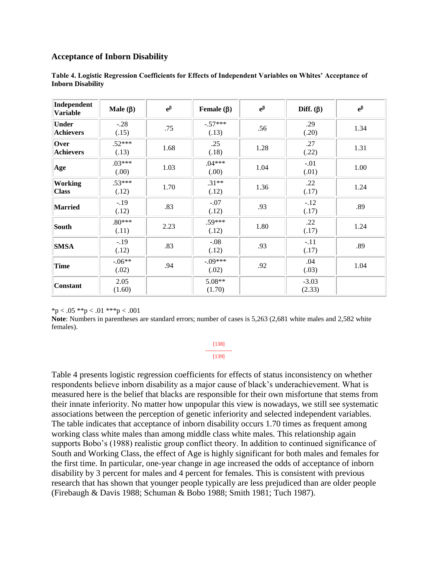### **Acceptance of Inborn Disability**

| Independent<br><b>Variable</b> | Male $(\beta)$     | $e^{\beta}$ | Female $(\beta)$   | $e^{\beta}$ | Diff. $(\beta)$   | $e^{\beta}$ |
|--------------------------------|--------------------|-------------|--------------------|-------------|-------------------|-------------|
| Under<br><b>Achievers</b>      | $-.28$<br>(.15)    | .75         | $-.57***$<br>(.13) | .56         | .29<br>(.20)      | 1.34        |
| Over<br><b>Achievers</b>       | $.52***$<br>(.13)  | 1.68        | .25<br>(.18)       | 1.28        | .27<br>(.22)      | 1.31        |
| Age                            | $.03***$<br>(0.00) | 1.03        | $.04***$<br>(0.00) | 1.04        | $-.01$<br>(.01)   | 1.00        |
| <b>Working</b><br><b>Class</b> | $.53***$<br>(.12)  | 1.70        | $.31**$<br>(.12)   | 1.36        | .22<br>(.17)      | 1.24        |
| Married                        | $-.19$<br>(.12)    | .83         | $-.07$<br>(.12)    | .93         | $-.12$<br>(.17)   | .89         |
| South                          | $.80***$<br>(.11)  | 2.23        | $.59***$<br>(.12)  | 1.80        | .22<br>(.17)      | 1.24        |
| <b>SMSA</b>                    | $-.19$<br>(.12)    | .83         | $-.08$<br>(.12)    | .93         | $-.11$<br>(.17)   | .89         |
| <b>Time</b>                    | $-.06**$<br>(.02)  | .94         | $-.09***$<br>(.02) | .92         | .04<br>(.03)      | 1.04        |
| <b>Constant</b>                | 2.05<br>(1.60)     |             | 5.08**<br>(1.70)   |             | $-3.03$<br>(2.33) |             |

**Table 4. Logistic Regression Coefficients for Effects of Independent Variables on Whites' Acceptance of Inborn Disability**

 $*p < .05 **p < .01 **p < .001$ 

**Note**: Numbers in parentheses are standard errors; number of cases is 5,263 (2,681 white males and 2,582 white females).

#### [138] --------------- [139]

Table 4 presents logistic regression coefficients for effects of status inconsistency on whether respondents believe inborn disability as a major cause of black's underachievement. What is measured here is the belief that blacks are responsible for their own misfortune that stems from their innate inferiority. No matter how unpopular this view is nowadays, we still see systematic associations between the perception of genetic inferiority and selected independent variables. The table indicates that acceptance of inborn disability occurs 1.70 times as frequent among working class white males than among middle class white males. This relationship again supports Bobo's (1988) realistic group conflict theory. In addition to continued significance of South and Working Class, the effect of Age is highly significant for both males and females for the first time. In particular, one-year change in age increased the odds of acceptance of inborn disability by 3 percent for males and 4 percent for females. This is consistent with previous research that has shown that younger people typically are less prejudiced than are older people (Firebaugh & Davis 1988; Schuman & Bobo 1988; Smith 1981; Tuch 1987).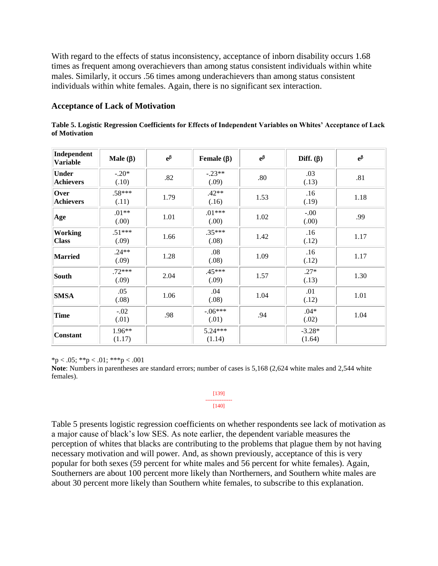With regard to the effects of status inconsistency, acceptance of inborn disability occurs 1.68 times as frequent among overachievers than among status consistent individuals within white males. Similarly, it occurs .56 times among underachievers than among status consistent individuals within white females. Again, there is no significant sex interaction.

### **Acceptance of Lack of Motivation**

| Table 5. Logistic Regression Coefficients for Effects of Independent Variables on Whites' Acceptance of Lack |  |  |  |
|--------------------------------------------------------------------------------------------------------------|--|--|--|
| of Motivation                                                                                                |  |  |  |

| Independent<br><b>Variable</b>   | Male $(\beta)$    | $\mathrm{e}^{\beta}$ | Female $(\beta)$   | $e^{\beta}$ | Diff. $(\beta)$    | $e^{\beta}$ |
|----------------------------------|-------------------|----------------------|--------------------|-------------|--------------------|-------------|
| <b>Under</b><br><b>Achievers</b> | $-.20*$<br>(.10)  | .82                  | $-.23**$<br>(.09)  | .80         | .03<br>(.13)       | .81         |
| Over<br><b>Achievers</b>         | $.58***$<br>(.11) | 1.79                 | $.42**$<br>(.16)   | 1.53        | .16<br>(.19)       | 1.18        |
| Age                              | $.01**$<br>(0.00) | 1.01                 | $.01***$<br>(0.00) | 1.02        | $-.00$<br>(00)     | .99         |
| <b>Working</b><br><b>Class</b>   | $.51***$<br>(.09) | 1.66                 | $.35***$<br>(.08)  | 1.42        | .16<br>(.12)       | 1.17        |
| Married                          | $.24**$<br>(.09)  | 1.28                 | .08<br>(.08)       | 1.09        | .16<br>(.12)       | 1.17        |
| South                            | $.72***$<br>(.09) | 2.04                 | $.45***$<br>(.09)  | 1.57        | $.27*$<br>(.13)    | 1.30        |
| <b>SMSA</b>                      | .05<br>(.08)      | 1.06                 | .04<br>(.08)       | 1.04        | .01<br>(.12)       | 1.01        |
| <b>Time</b>                      | $-.02$<br>(.01)   | .98                  | $-.06***$<br>(.01) | .94         | $.04*$<br>(.02)    | 1.04        |
| <b>Constant</b>                  | 1.96**<br>(1.17)  |                      | 5.24***<br>(1.14)  |             | $-3.28*$<br>(1.64) |             |

 $*<sub>p</sub> < .05; **<sub>p</sub> < .01; **<sub>p</sub> < .001$ 

**Note**: Numbers in parentheses are standard errors; number of cases is 5,168 (2,624 white males and 2,544 white females).

#### [139] --------------- [140]

Table 5 presents logistic regression coefficients on whether respondents see lack of motivation as a major cause of black's low SES. As note earlier, the dependent variable measures the perception of whites that blacks are contributing to the problems that plague them by not having necessary motivation and will power. And, as shown previously, acceptance of this is very popular for both sexes (59 percent for white males and 56 percent for white females). Again, Southerners are about 100 percent more likely than Northerners, and Southern white males are about 30 percent more likely than Southern white females, to subscribe to this explanation.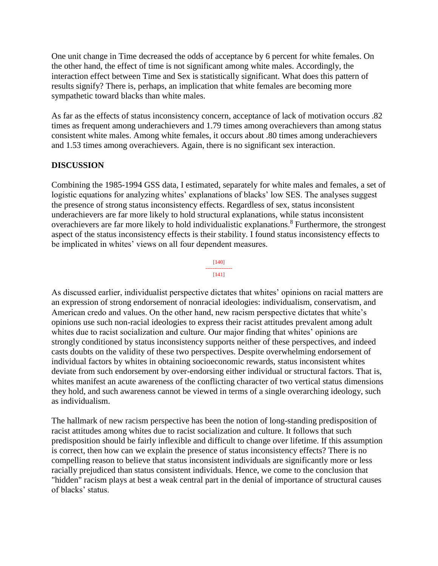One unit change in Time decreased the odds of acceptance by 6 percent for white females. On the other hand, the effect of time is not significant among white males. Accordingly, the interaction effect between Time and Sex is statistically significant. What does this pattern of results signify? There is, perhaps, an implication that white females are becoming more sympathetic toward blacks than white males.

As far as the effects of status inconsistency concern, acceptance of lack of motivation occurs .82 times as frequent among underachievers and 1.79 times among overachievers than among status consistent white males. Among white females, it occurs about .80 times among underachievers and 1.53 times among overachievers. Again, there is no significant sex interaction.

## **DISCUSSION**

Combining the 1985-1994 GSS data, I estimated, separately for white males and females, a set of logistic equations for analyzing whites' explanations of blacks' low SES. The analyses suggest the presence of strong status inconsistency effects. Regardless of sex, status inconsistent underachievers are far more likely to hold structural explanations, while status inconsistent overachievers are far more likely to hold individualistic explanations.<sup>8</sup> Furthermore, the strongest aspect of the status inconsistency effects is their stability. I found status inconsistency effects to be implicated in whites' views on all four dependent measures.



As discussed earlier, individualist perspective dictates that whites' opinions on racial matters are an expression of strong endorsement of nonracial ideologies: individualism, conservatism, and American credo and values. On the other hand, new racism perspective dictates that white's opinions use such non-racial ideologies to express their racist attitudes prevalent among adult whites due to racist socialization and culture. Our major finding that whites' opinions are strongly conditioned by status inconsistency supports neither of these perspectives, and indeed casts doubts on the validity of these two perspectives. Despite overwhelming endorsement of individual factors by whites in obtaining socioeconomic rewards, status inconsistent whites deviate from such endorsement by over-endorsing either individual or structural factors. That is, whites manifest an acute awareness of the conflicting character of two vertical status dimensions they hold, and such awareness cannot be viewed in terms of a single overarching ideology, such as individualism.

The hallmark of new racism perspective has been the notion of long-standing predisposition of racist attitudes among whites due to racist socialization and culture. It follows that such predisposition should be fairly inflexible and difficult to change over lifetime. If this assumption is correct, then how can we explain the presence of status inconsistency effects? There is no compelling reason to believe that status inconsistent individuals are significantly more or less racially prejudiced than status consistent individuals. Hence, we come to the conclusion that "hidden" racism plays at best a weak central part in the denial of importance of structural causes of blacks' status.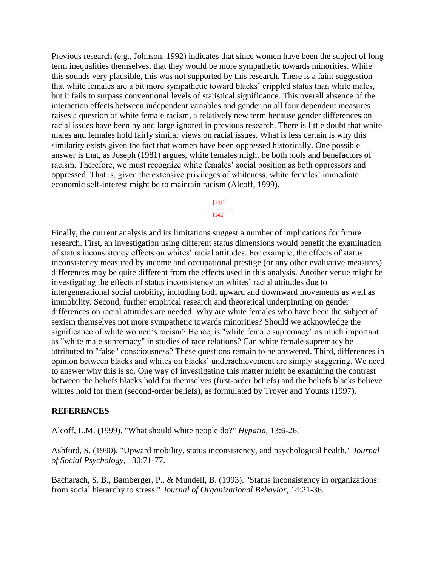Previous research (e.g., Johnson, 1992) indicates that since women have been the subject of long term inequalities themselves, that they would be more sympathetic towards minorities. While this sounds very plausible, this was not supported by this research. There is a faint suggestion that white females are a bit more sympathetic toward blacks' crippled status than white males, but it fails to surpass conventional levels of statistical significance. This overall absence of the interaction effects between independent variables and gender on all four dependent measures raises a question of white female racism, a relatively new term because gender differences on racial issues have been by and large ignored in previous research. There is little doubt that white males and females hold fairly similar views on racial issues. What is less certain is why this similarity exists given the fact that women have been oppressed historically. One possible answer is that, as Joseph (1981) argues, white females might be both tools and benefactors of racism. Therefore, we must recognize white females' social position as both oppressors and oppressed. That is, given the extensive privileges of whiteness, white females' immediate economic self-interest might be to maintain racism (Alcoff, 1999).

#### [141] --------------- [142]

Finally, the current analysis and its limitations suggest a number of implications for future research. First, an investigation using different status dimensions would benefit the examination of status inconsistency effects on whites' racial attitudes. For example, the effects of status inconsistency measured by income and occupational prestige (or any other evaluative measures) differences may be quite different from the effects used in this analysis. Another venue might be investigating the effects of status inconsistency on whites' racial attitudes due to intergenerational social mobility, including both upward and downward movements as well as immobility. Second, further empirical research and theoretical underpinning on gender differences on racial attitudes are needed. Why are white females who have been the subject of sexism themselves not more sympathetic towards minorities? Should we acknowledge the significance of white women's racism? Hence, is "white female supremacy" as much important as "white male supremacy" in studies of race relations? Can white female supremacy be attributed to "false" consciousness? These questions remain to be answered. Third, differences in opinion between blacks and whites on blacks' underachievement are simply staggering. We need to answer why this is so. One way of investigating this matter might be examining the contrast between the beliefs blacks hold for themselves (first-order beliefs) and the beliefs blacks believe whites hold for them (second-order beliefs), as formulated by Troyer and Younts (1997).

## **REFERENCES**

Alcoff, L.M. (1999). "What should white people do?" *Hypatia*, 13:6-26.

Ashford, S. (1990). "Upward mobility, status inconsistency, and psychological health*." Journal of Social Psychology*, 130:71-77.

Bacharach, S. B., Bamberger, P., & Mundell, B. (1993). "Status inconsistency in organizations: from social hierarchy to stress." *Journal of Organizational Behavior*, 14:21-36.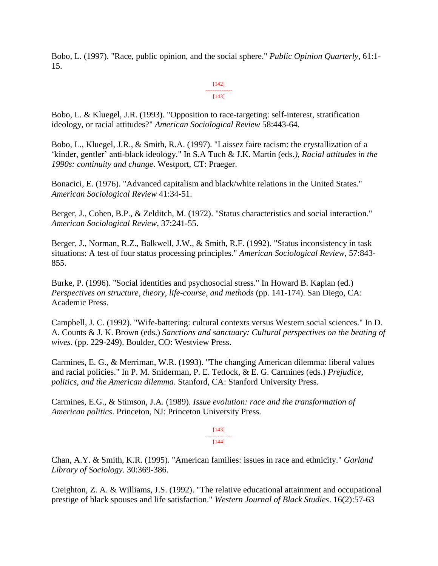Bobo, L. (1997). "Race, public opinion, and the social sphere." *Public Opinion Quarterly*, 61:1- 15.

#### [142] --------------- [143]

Bobo, L. & Kluegel, J.R. (1993). "Opposition to race-targeting: self-interest, stratification ideology, or racial attitudes?" *American Sociological Review* 58:443-64.

Bobo, L., Kluegel, J.R., & Smith, R.A. (1997). "Laissez faire racism: the crystallization of a 'kinder, gentler' anti-black ideology." In S.A Tuch & J.K. Martin (eds*.), Racial attitudes in the 1990s: continuity and change*. Westport, CT: Praeger.

Bonacici, E. (1976). "Advanced capitalism and black/white relations in the United States." *American Sociological Review* 41:34-51.

Berger, J., Cohen, B.P., & Zelditch, M. (1972). "Status characteristics and social interaction." *American Sociological Review*, 37:241-55.

Berger, J., Norman, R.Z., Balkwell, J.W., & Smith, R.F. (1992). "Status inconsistency in task situations: A test of four status processing principles." *American Sociological Review*, 57:843- 855.

Burke, P. (1996). "Social identities and psychosocial stress." In Howard B. Kaplan (ed.) *Perspectives on structure, theory, life-course, and methods* (pp. 141-174). San Diego, CA: Academic Press.

Campbell, J. C. (1992). "Wife-battering: cultural contexts versus Western social sciences." In D. A. Counts & J. K. Brown (eds.) *Sanctions and sanctuary: Cultural perspectives on the beating of wives*. (pp. 229-249). Boulder, CO: Westview Press.

Carmines, E. G., & Merriman, W.R. (1993). "The changing American dilemma: liberal values and racial policies." In P. M. Sniderman, P. E. Tetlock, & E. G. Carmines (eds.) *Prejudice, politics, and the American dilemma*. Stanford, CA: Stanford University Press.

Carmines, E.G., & Stimson, J.A. (1989). *Issue evolution: race and the transformation of American politics*. Princeton, NJ: Princeton University Press.

#### [143] --------------- [144]

Chan, A.Y. & Smith, K.R. (1995). "American families: issues in race and ethnicity." *Garland Library of Sociology*. 30:369-386.

Creighton, Z. A. & Williams, J.S. (1992). "The relative educational attainment and occupational prestige of black spouses and life satisfaction." *Western Journal of Black Studies*. 16(2):57-63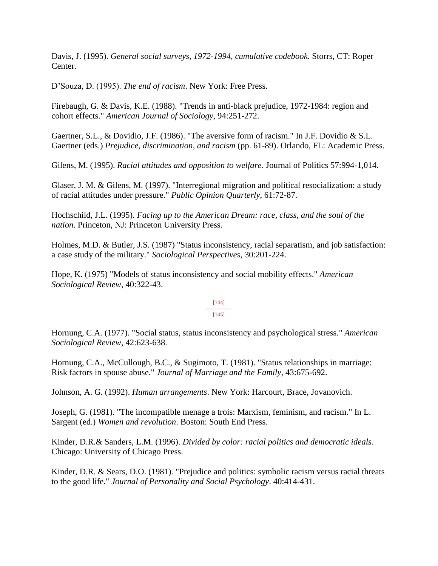Davis, J. (1995). *General social surveys, 1972-1994, cumulative codebook*. Storrs, CT: Roper Center.

D'Souza, D. (1995). *The end of racism*. New York: Free Press.

Firebaugh, G. & Davis, K.E. (1988). "Trends in anti-black prejudice, 1972-1984: region and cohort effects." *American Journal of Sociology*, 94:251-272.

Gaertner, S.L., & Dovidio, J.F. (1986). "The aversive form of racism." In J.F. Dovidio & S.L. Gaertner (eds.) *Prejudice, discrimination, and racism* (pp. 61-89). Orlando, FL: Academic Press.

Gilens, M. (1995). *Racial attitudes and opposition to welfare*. Journal of Politics 57:994-1,014.

Glaser, J. M. & Gilens, M. (1997). "Interregional migration and political resocialization: a study of racial attitudes under pressure." *Public Opinion Quarterly*, 61:72-87.

Hochschild, J.L. (1995). *Facing up to the American Dream: race, class, and the soul of the nation*. Princeton, NJ: Princeton University Press.

Holmes, M.D. & Butler, J.S. (1987) "Status inconsistency, racial separatism, and job satisfaction: a case study of the military." *Sociological Perspectives*, 30:201-224.

Hope, K. (1975) "Models of status inconsistency and social mobility effects." *American Sociological Review*, 40:322-43.

#### [144] --------------- [145]

Hornung, C.A. (1977). "Social status, status inconsistency and psychological stress*.*" *American Sociological Review*, 42:623-638.

Hornung, C.A., McCullough, B.C., & Sugimoto, T. (1981). "Status relationships in marriage: Risk factors in spouse abuse." *Journal of Marriage and the Family*, 43:675-692.

Johnson, A. G. (1992). *Human arrangements*. New York: Harcourt, Brace, Jovanovich.

Joseph, G. (1981). "The incompatible menage a trois: Marxism, feminism, and racism." In L. Sargent (ed.) *Women and revolution*. Boston: South End Press.

Kinder, D.R.& Sanders, L.M. (1996). *Divided by color: racial politics and democratic ideals*. Chicago: University of Chicago Press.

Kinder, D.R. & Sears, D.O. (1981). "Prejudice and politics: symbolic racism versus racial threats to the good life." *Journal of Personality and Social Psychology*. 40:414-431.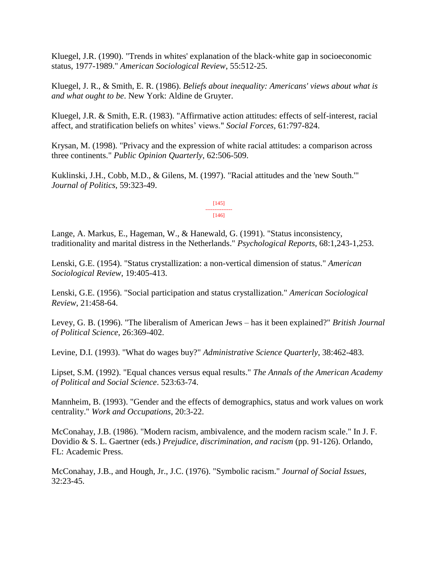Kluegel, J.R. (1990). "Trends in whites' explanation of the black-white gap in socioeconomic status, 1977-1989." *American Sociological Review*, 55:512-25.

Kluegel, J. R., & Smith, E. R. (1986). *Beliefs about inequality: Americans' views about what is and what ought to be*. New York: Aldine de Gruyter.

Kluegel, J.R. & Smith, E.R. (1983). "Affirmative action attitudes: effects of self-interest, racial affect, and stratification beliefs on whites' views." *Social Forces*, 61:797-824.

Krysan, M. (1998). "Privacy and the expression of white racial attitudes: a comparison across three continents." *Public Opinion Quarterly*, 62:506-509.

Kuklinski, J.H., Cobb, M.D., & Gilens, M. (1997). "Racial attitudes and the 'new South.'" *Journal of Politics*, 59:323-49.

> [145] --------------- [146]

Lange, A. Markus, E., Hageman, W., & Hanewald, G. (1991). "Status inconsistency, traditionality and marital distress in the Netherlands." *Psychological Reports*, 68:1,243-1,253.

Lenski, G.E. (1954). "Status crystallization: a non-vertical dimension of status." *American Sociological Review*, 19:405-413.

Lenski, G.E. (1956). "Social participation and status crystallization." *American Sociological Review*, 21:458-64.

Levey, G. B. (1996). "The liberalism of American Jews – has it been explained?" *British Journal of Political Science*, 26:369-402.

Levine, D.I. (1993). "What do wages buy?" *Administrative Science Quarterly*, 38:462-483.

Lipset, S.M. (1992). "Equal chances versus equal results." *The Annals of the American Academy of Political and Social Science*. 523:63-74.

Mannheim, B. (1993). "Gender and the effects of demographics, status and work values on work centrality." *Work and Occupations*, 20:3-22.

McConahay, J.B. (1986). "Modern racism, ambivalence, and the modern racism scale." In J. F. Dovidio & S. L. Gaertner (eds.) *Prejudice, discrimination, and racism* (pp. 91-126). Orlando, FL: Academic Press.

McConahay, J.B., and Hough, Jr., J.C. (1976). "Symbolic racism." *Journal of Social Issues,* 32:23-45.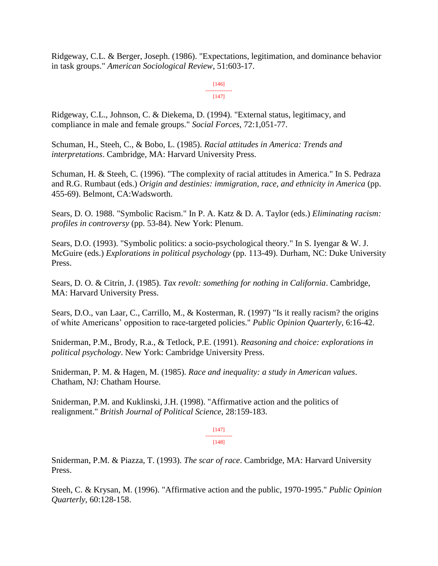Ridgeway, C.L. & Berger, Joseph. (1986). "Expectations, legitimation, and dominance behavior in task groups." *American Sociological Review*, 51:603-17.

> [146] --------------- [147]

Ridgeway, C.L., Johnson, C. & Diekema, D. (1994). "External status, legitimacy, and compliance in male and female groups." *Social Forces*, 72:1,051-77.

Schuman, H., Steeh, C., & Bobo, L. (1985). *Racial attitudes in America: Trends and interpretations*. Cambridge, MA: Harvard University Press.

Schuman, H. & Steeh, C. (1996). "The complexity of racial attitudes in America." In S. Pedraza and R.G. Rumbaut (eds.) *Origin and destinies: immigration, race, and ethnicity in America* (pp. 455-69). Belmont, CA:Wadsworth.

Sears, D. O. 1988. "Symbolic Racism." In P. A. Katz & D. A. Taylor (eds.) *Eliminating racism: profiles in controversy* (pp. 53-84). New York: Plenum.

Sears, D.O. (1993). "Symbolic politics: a socio-psychological theory." In S. Iyengar & W. J. McGuire (eds.) *Explorations in political psychology* (pp. 113-49). Durham, NC: Duke University Press.

Sears, D. O. & Citrin, J. (1985). *Tax revolt: something for nothing in California*. Cambridge, MA: Harvard University Press.

Sears, D.O., van Laar, C., Carrillo, M., & Kosterman, R. (1997) "Is it really racism? the origins of white Americans' opposition to race-targeted policies." *Public Opinion Quarterly*, 6:16-42.

Sniderman, P.M., Brody, R.a., & Tetlock, P.E. (1991). *Reasoning and choice: explorations in political psychology*. New York: Cambridge University Press.

Sniderman, P. M. & Hagen, M. (1985). *Race and inequality: a study in American values*. Chatham, NJ: Chatham Hourse.

Sniderman, P.M. and Kuklinski, J.H. (1998). "Affirmative action and the politics of realignment." *British Journal of Political Science*, 28:159-183.

> [147] --------------- [148]

Sniderman, P.M. & Piazza, T. (1993). *The scar of race*. Cambridge, MA: Harvard University Press.

Steeh, C. & Krysan, M. (1996). "Affirmative action and the public, 1970-1995." *Public Opinion Quarterly*, 60:128-158.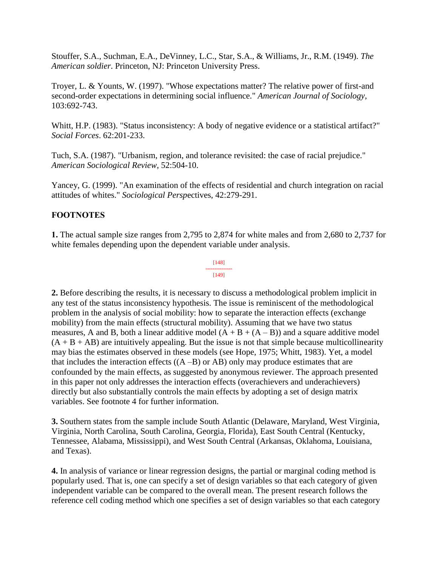Stouffer, S.A., Suchman, E.A., DeVinney, L.C., Star, S.A., & Williams, Jr., R.M. (1949). *The American soldier*. Princeton, NJ: Princeton University Press.

Troyer, L. & Younts, W. (1997). "Whose expectations matter? The relative power of first-and second-order expectations in determining social influence." *American Journal of Sociology*, 103:692-743.

Whitt, H.P. (1983). "Status inconsistency: A body of negative evidence or a statistical artifact?" *Social Forces*. 62:201-233.

Tuch, S.A. (1987). "Urbanism, region, and tolerance revisited: the case of racial prejudice." *American Sociological Review*, 52:504-10.

Yancey, G. (1999). "An examination of the effects of residential and church integration on racial attitudes of whites." *Sociological Persp*ectives, 42:279-291.

# **FOOTNOTES**

**1.** The actual sample size ranges from 2,795 to 2,874 for white males and from 2,680 to 2,737 for white females depending upon the dependent variable under analysis.

> [148] --------------- [149]

**2.** Before describing the results, it is necessary to discuss a methodological problem implicit in any test of the status inconsistency hypothesis. The issue is reminiscent of the methodological problem in the analysis of social mobility: how to separate the interaction effects (exchange mobility) from the main effects (structural mobility). Assuming that we have two status measures, A and B, both a linear additive model  $(A + B + (A - B))$  and a square additive model  $(A + B + AB)$  are intuitively appealing. But the issue is not that simple because multicollinearity may bias the estimates observed in these models (see Hope, 1975; Whitt, 1983). Yet, a model that includes the interaction effects  $((A - B)$  or AB) only may produce estimates that are confounded by the main effects, as suggested by anonymous reviewer. The approach presented in this paper not only addresses the interaction effects (overachievers and underachievers) directly but also substantially controls the main effects by adopting a set of design matrix variables. See footnote 4 for further information.

**3.** Southern states from the sample include South Atlantic (Delaware, Maryland, West Virginia, Virginia, North Carolina, South Carolina, Georgia, Florida), East South Central (Kentucky, Tennessee, Alabama, Mississippi), and West South Central (Arkansas, Oklahoma, Louisiana, and Texas).

**4.** In analysis of variance or linear regression designs, the partial or marginal coding method is popularly used. That is, one can specify a set of design variables so that each category of given independent variable can be compared to the overall mean. The present research follows the reference cell coding method which one specifies a set of design variables so that each category